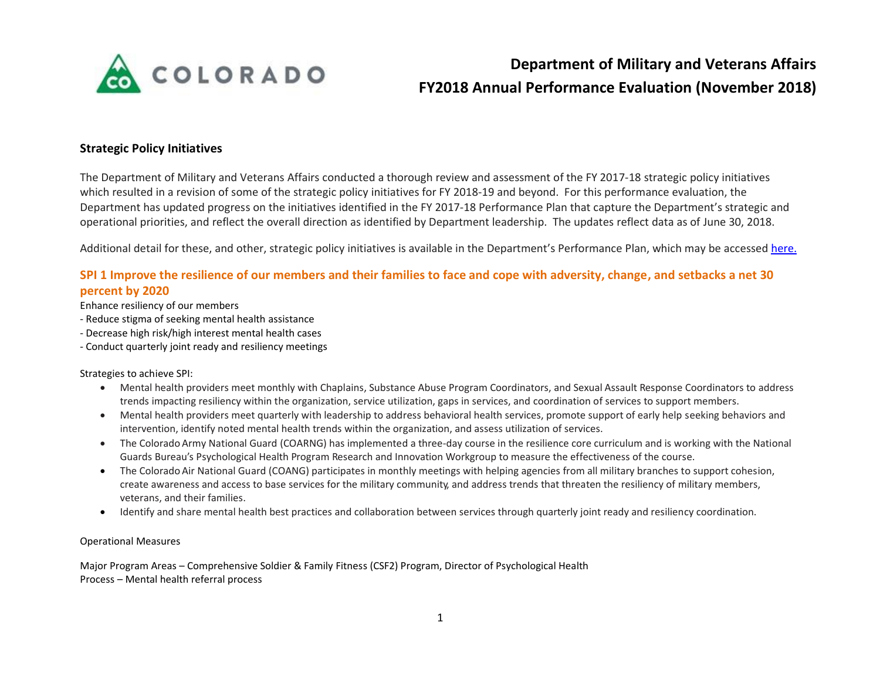

## **Strategic Policy Initiatives**

The Department of Military and Veterans Affairs conducted a thorough review and assessment of the FY 2017-18 strategic policy initiatives which resulted in a revision of some of the strategic policy initiatives for FY 2018-19 and beyond. For this performance evaluation, the Department has updated progress on the initiatives identified in the FY 2017-18 Performance Plan that capture the Department's strategic and operational priorities, and reflect the overall direction as identified by Department leadership. The updates reflect data as of June 30, 2018.

Additional detail for these, and other, strategic policy initiatives is available in the Department's Performance Plan, which may be accessed [here.](https://www.colorado.gov/performancemanagement/military-veterans-affairs)

## **SPI 1 Improve the resilience of our members and their families to face and cope with adversity, change, and setbacks a net 30**

### **percent by 2020**

Enhance resiliency of our members

- Reduce stigma of seeking mental health assistance
- Decrease high risk/high interest mental health cases
- Conduct quarterly joint ready and resiliency meetings

### Strategies to achieve SPI:

- Mental health providers meet monthly with Chaplains, Substance Abuse Program Coordinators, and Sexual Assault Response Coordinators to address trends impacting resiliency within the organization, service utilization, gaps in services, and coordination of services to support members.
- Mental health providers meet quarterly with leadership to address behavioral health services, promote support of early help seeking behaviors and intervention, identify noted mental health trends within the organization, and assess utilization of services.
- The Colorado Army National Guard (COARNG) has implemented a three-day course in the resilience core curriculum and is working with the National Guards Bureau's Psychological Health Program Research and Innovation Workgroup to measure the effectiveness of the course.
- The Colorado Air National Guard (COANG) participates in monthly meetings with helping agencies from all military branches to support cohesion, create awareness and access to base services for the military community, and address trends that threaten the resiliency of military members, veterans, and their families.
- Identify and share mental health best practices and collaboration between services through quarterly joint ready and resiliency coordination.

### Operational Measures

Major Program Areas – Comprehensive Soldier & Family Fitness (CSF2) Program, Director of Psychological Health Process – Mental health referral process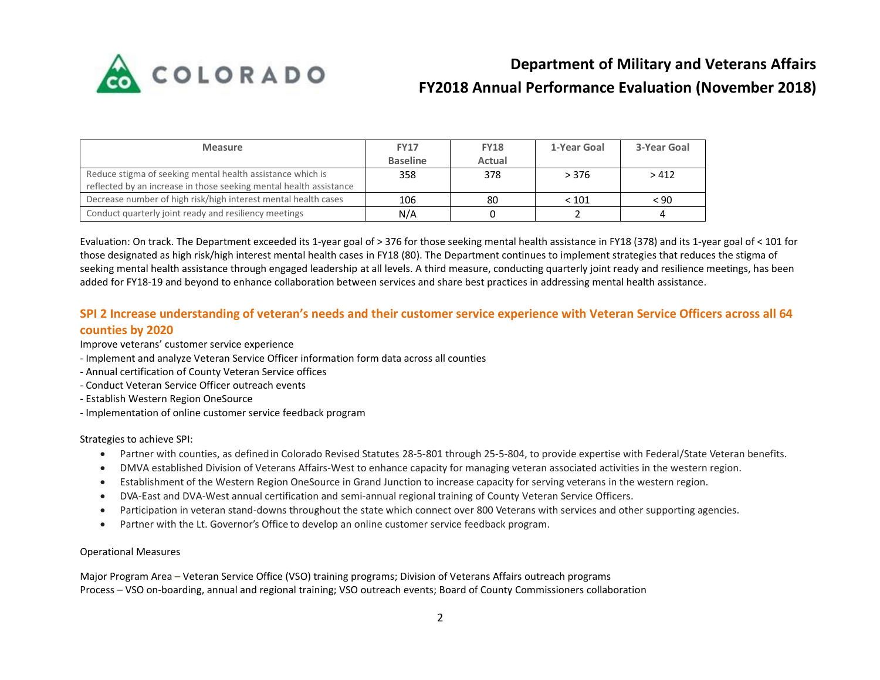

| <b>Measure</b>                                                     | <b>FY17</b>     | <b>FY18</b> | 1-Year Goal | 3-Year Goal |
|--------------------------------------------------------------------|-----------------|-------------|-------------|-------------|
|                                                                    | <b>Baseline</b> | Actual      |             |             |
| Reduce stigma of seeking mental health assistance which is         | 358             | 378         | > 376       | >412        |
| reflected by an increase in those seeking mental health assistance |                 |             |             |             |
| Decrease number of high risk/high interest mental health cases     | 106             | 80          | < 101       | < 90        |
| Conduct quarterly joint ready and resiliency meetings              | N/A             |             |             |             |

Evaluation: On track. The Department exceeded its 1-year goal of > 376 for those seeking mental health assistance in FY18 (378) and its 1-year goal of < 101 for those designated as high risk/high interest mental health cases in FY18 (80). The Department continues to implement strategies that reduces the stigma of seeking mental health assistance through engaged leadership at all levels. A third measure, conducting quarterly joint ready and resilience meetings, has been added for FY18-19 and beyond to enhance collaboration between services and share best practices in addressing mental health assistance.

## **SPI 2 Increase understanding of veteran's needs and their customer service experience with Veteran Service Officers across all 64 counties by 2020**

Improve veterans' customer service experience

- Implement and analyze Veteran Service Officer information form data across all counties
- Annual certification of County Veteran Service offices
- Conduct Veteran Service Officer outreach events
- Establish Western Region OneSource
- Implementation of online customer service feedback program

Strategies to achieve SPI:

- Partner with counties, as definedin Colorado Revised Statutes 28-5-801 through 25-5-804, to provide expertise with Federal/State Veteran benefits.
- DMVA established Division of Veterans Affairs-West to enhance capacity for managing veteran associated activities in the western region.
- Establishment of the Western Region OneSource in Grand Junction to increase capacity for serving veterans in the western region.
- DVA-East and DVA-West annual certification and semi-annual regional training of County Veteran Service Officers.
- Participation in veteran stand-downs throughout the state which connect over 800 Veterans with services and other supporting agencies.
- Partner with the Lt. Governor's Office to develop an online customer service feedback program.

### Operational Measures

Major Program Area – Veteran Service Office (VSO) training programs; Division of Veterans Affairs outreach programs Process – VSO on-boarding, annual and regional training; VSO outreach events; Board of County Commissioners collaboration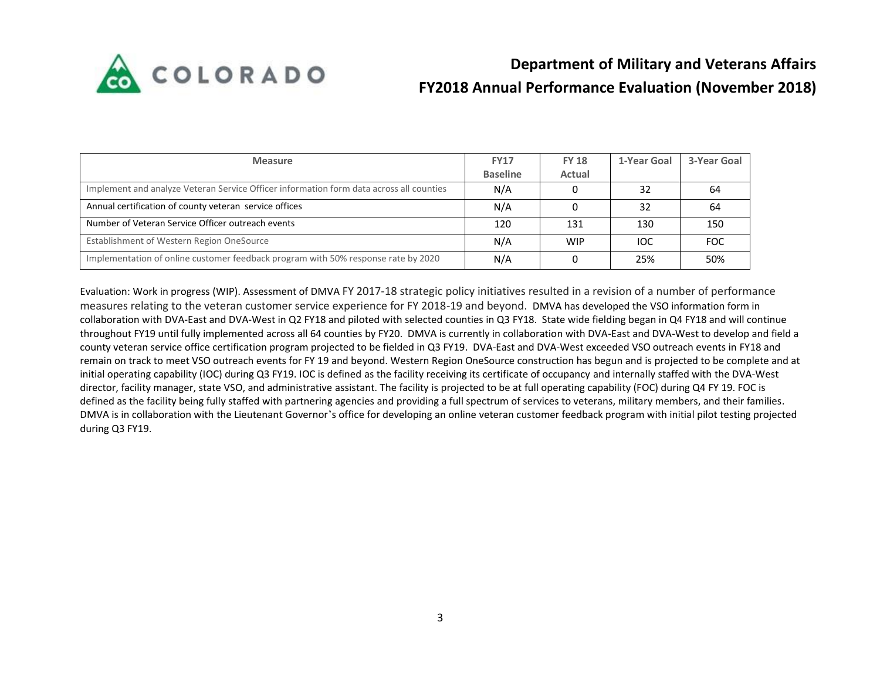

| <b>Measure</b>                                                                          | <b>FY17</b>     | <b>FY 18</b> | 1-Year Goal | 3-Year Goal |
|-----------------------------------------------------------------------------------------|-----------------|--------------|-------------|-------------|
|                                                                                         | <b>Baseline</b> | Actual       |             |             |
| Implement and analyze Veteran Service Officer information form data across all counties | N/A             |              | 32          | 64          |
| Annual certification of county veteran service offices                                  | N/A             |              | 32          | 64          |
| Number of Veteran Service Officer outreach events                                       | 120             | 131          | 130         | 150         |
| Establishment of Western Region OneSource                                               | N/A             | <b>WIP</b>   | IOC         | FOC         |
| Implementation of online customer feedback program with 50% response rate by 2020       | N/A             |              | 25%         | 50%         |

Evaluation: Work in progress (WIP). Assessment of DMVA FY 2017-18 strategic policy initiatives resulted in a revision of a number of performance measures relating to the veteran customer service experience for FY 2018-19 and beyond. DMVA has developed the VSO information form in collaboration with DVA-East and DVA-West in Q2 FY18 and piloted with selected counties in Q3 FY18. State wide fielding began in Q4 FY18 and will continue throughout FY19 until fully implemented across all 64 counties by FY20. DMVA is currently in collaboration with DVA-East and DVA-West to develop and field a county veteran service office certification program projected to be fielded in Q3 FY19. DVA-East and DVA-West exceeded VSO outreach events in FY18 and remain on track to meet VSO outreach events for FY 19 and beyond. Western Region OneSource construction has begun and is projected to be complete and at initial operating capability (IOC) during Q3 FY19. IOC is defined as the facility receiving its certificate of occupancy and internally staffed with the DVA-West director, facility manager, state VSO, and administrative assistant. The facility is projected to be at full operating capability (FOC) during Q4 FY 19. FOC is defined as the facility being fully staffed with partnering agencies and providing a full spectrum of services to veterans, military members, and their families. DMVA is in collaboration with the Lieutenant Governor's office for developing an online veteran customer feedback program with initial pilot testing projected during Q3 FY19.